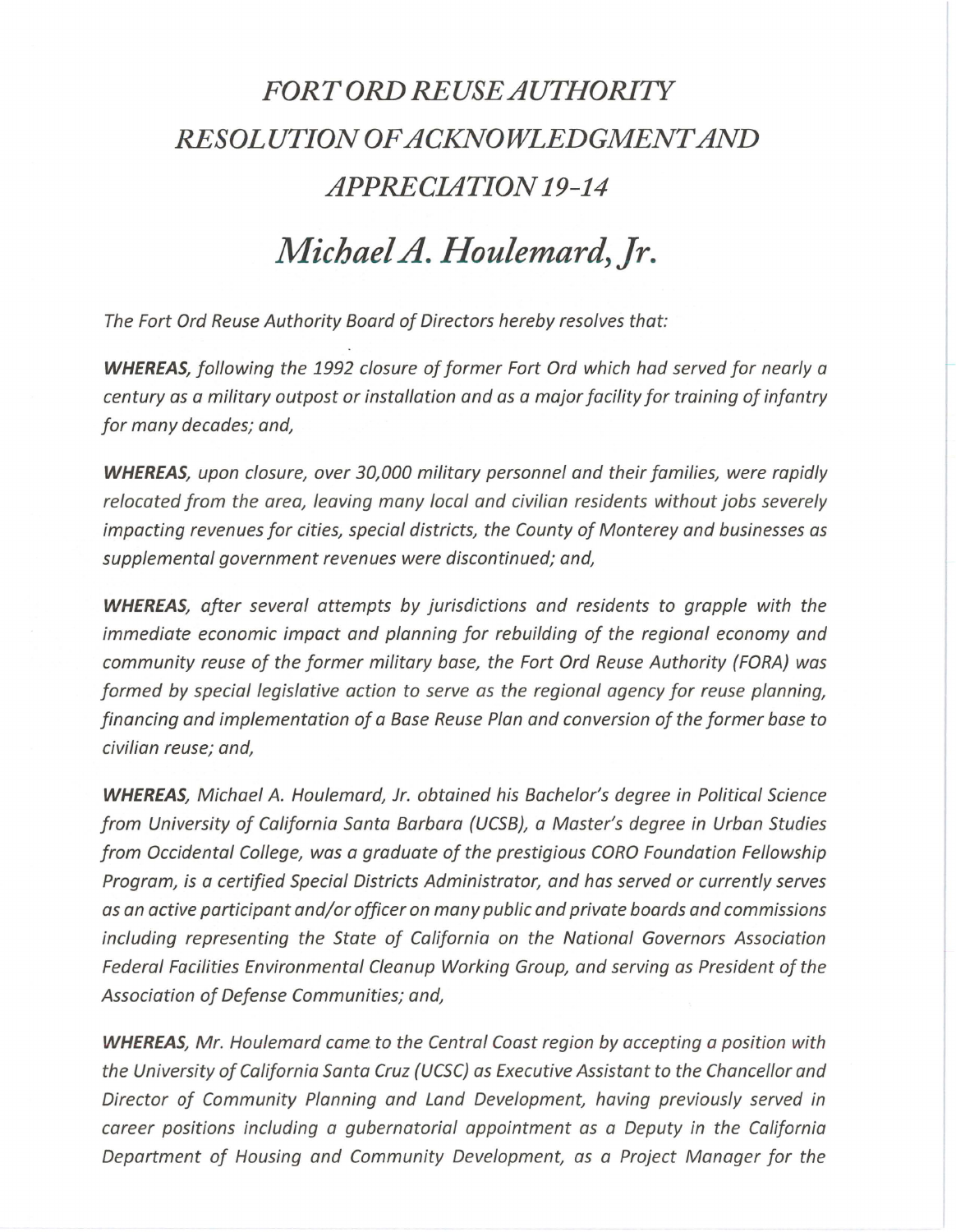## *FORT ORD REUSE AUTHORITY RESOLUTION OF ACKNOWLEDGMENT AND APPRECIATION 19-14*

## *Michael A. Houlemard, Jr.*

The Fort Ord Reuse Authority Board of Directors hereby resolves that:

**WHEREAS,** following the 1992 closure of former Fort Ord which had served for nearly a century as a military outpost or installation and as a major facility for training of infantry for many decades; and,

**WHEREAS,** upon closure, over 30,000 military personnel and their families, were rapidly relocated from the area, leaving many local and civilian residents without jobs severely impacting revenues for cities, special districts, the County of Monterey and businesses as supplemental government revenues were discontinued; and,

**WHEREAS,** after several attempts by jurisdictions and residents to grapple with the immediate economic impact and planning for rebuilding of the regional economy and community reuse of the former military base, the Fort Ord Reuse Authority (FORA) was formed by special legislative action to serve as the regional agency for reuse planning, financing and implementation of a Base Reuse Plan and conversion of the former base to civilian reuse; and,

**WHEREAS,** Michael *A.* Houlemard, Jr. obtained his Bachelor's degree in Political Science from University of California Santa Barbara (UCSB}, a Master's degree in Urban Studies from Occidental College, was a graduate of the prestigious CORO Foundation Fellowship Program, is a certified Special Districts Administrator, and has served or currently serves as an active participant and/or officer on many public and private boards and commissions including representing the State of California on the National Governors Association Federal Facilities Environmental Cleanup Working Group, and serving as President of the Association of Defense Communities; and,

**WHEREAS,** Mr. Houlemard came to the Central Coast region by accepting a position with the University of California Santa Cruz (UCSC) as Executive Assistant to the Chancellor and Director of Community Planning and Land Development, having previously served in career positions including a gubernatorial appointment as a Deputy in the California Department of Housing and Community Development, as a Project Manager for the